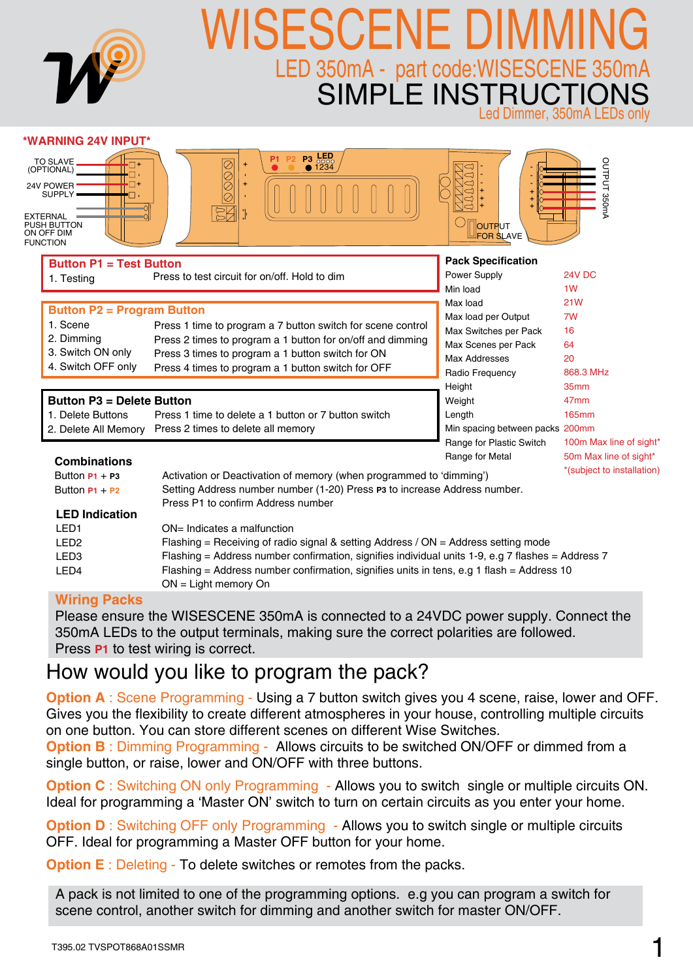| <b>M</b>                                                                                                             | SESCENE DII<br>LED 350mA - part code:WISESCENE 350mA<br>SIMPLE INSTRUCTIONS                                                               |                                           | Led Dimmer, 350mA LEDs only      |
|----------------------------------------------------------------------------------------------------------------------|-------------------------------------------------------------------------------------------------------------------------------------------|-------------------------------------------|----------------------------------|
| <b>*WARNING 24V INPUT*</b>                                                                                           |                                                                                                                                           |                                           |                                  |
| <b>TO SLAVE</b><br>(OPTIONAL)<br>24V POWER<br>SUPPLY .<br>EXTERNAL –<br>PUSH BUTTON<br>ON OFF DIM<br><b>FUNCTION</b> | <b>P3</b> LED<br><b>0</b> 1234<br>P <sub>1</sub><br>$\begin{matrix} \heartsuit \ \heartsuit \ \heartsuit \end{matrix}$<br>$\bar{\varrho}$ | OUTPUT<br><b>FOR SLAVE</b>                | OUTPUT 350mA                     |
| <b>Button P1 = Test Button</b>                                                                                       |                                                                                                                                           | <b>Pack Specification</b>                 |                                  |
| 1. Testing                                                                                                           | Press to test circuit for on/off. Hold to dim                                                                                             | Power Supply                              | 24V DC                           |
|                                                                                                                      |                                                                                                                                           | Min load                                  | 1 <sub>W</sub>                   |
| <b>Button P2 = Program Button</b>                                                                                    |                                                                                                                                           | Max load                                  | <b>21W</b>                       |
| 1. Scene                                                                                                             | Press 1 time to program a 7 button switch for scene control                                                                               | Max load per Output                       | 7W                               |
| 2. Dimming                                                                                                           | Press 2 times to program a 1 button for on/off and dimming                                                                                | Max Switches per Pack                     | 16                               |
| 3. Switch ON only                                                                                                    | Press 3 times to program a 1 button switch for ON                                                                                         | Max Scenes per Pack                       | 64                               |
| 4. Switch OFF only                                                                                                   | Press 4 times to program a 1 button switch for OFF                                                                                        | <b>Max Addresses</b>                      | 20                               |
|                                                                                                                      |                                                                                                                                           | Radio Frequency                           | 868.3 MHz                        |
|                                                                                                                      |                                                                                                                                           | Height                                    | 35 <sub>mm</sub>                 |
| <b>Button P3 = Delete Button</b>                                                                                     | Press 1 time to delete a 1 button or 7 button switch                                                                                      | Weight                                    | 47 <sub>mm</sub><br><b>165mm</b> |
| 1. Delete Buttons<br>2. Delete All Memory                                                                            | Press 2 times to delete all memory                                                                                                        | Length<br>Min spacing between packs 200mm |                                  |
|                                                                                                                      |                                                                                                                                           | Range for Plastic Switch                  | 100m Max line of sight*          |
|                                                                                                                      |                                                                                                                                           | Range for Metal                           | 50m Max line of sight*           |
| <b>Combinations</b>                                                                                                  |                                                                                                                                           |                                           | *(subject to installation)       |
| Button $P1 + P3$                                                                                                     | Activation or Deactivation of memory (when programmed to 'dimming')                                                                       |                                           |                                  |
| Button $P1 + P2$                                                                                                     | Setting Address number number (1-20) Press P3 to increase Address number.<br>Press P1 to confirm Address number                           |                                           |                                  |
| <b>LED Indication</b>                                                                                                |                                                                                                                                           |                                           |                                  |
| LED1                                                                                                                 | ON= Indicates a malfunction                                                                                                               |                                           |                                  |
| LED <sub>2</sub>                                                                                                     | Flashing = Receiving of radio signal & setting Address / ON = Address setting mode                                                        |                                           |                                  |
| LED <sub>3</sub>                                                                                                     | Flashing = Address number confirmation, signifies individual units 1-9, e.g 7 flashes = Address 7                                         |                                           |                                  |
| LED4                                                                                                                 | Flashing = Address number confirmation, signifies units in tens, e.g 1 flash = Address 10<br>ON = Light memory On                         |                                           |                                  |

#### **Wiring Packs**

Please ensure the WISESCENE 350mA is connected to a 24VDC power supply. Connect the 350mA LEDs to the output terminals, making sure the correct polarities are followed. Press **P1** to test wiring is correct.

# How would you like to program the pack?

**Option A** : Scene Programming - Using a 7 button switch gives you 4 scene, raise, lower and OFF. Gives you the flexibility to create different atmospheres in your house, controlling multiple circuits on one button. You can store different scenes on different Wise Switches.

**Option B** : Dimming Programming - Allows circuits to be switched ON/OFF or dimmed from a single button, or raise, lower and ON/OFF with three buttons.

**Option C** : Switching ON only Programming - Allows you to switch single or multiple circuits ON. Ideal for programming a 'Master ON' switch to turn on certain circuits as you enter your home.

**Option D** : Switching OFF only Programming - Allows you to switch single or multiple circuits OFF. Ideal for programming a Master OFF button for your home.

**Option E** : Deleting - To delete switches or remotes from the packs.

A pack is not limited to one of the programming options. e.g you can program a switch for scene control, another switch for dimming and another switch for master ON/OFF.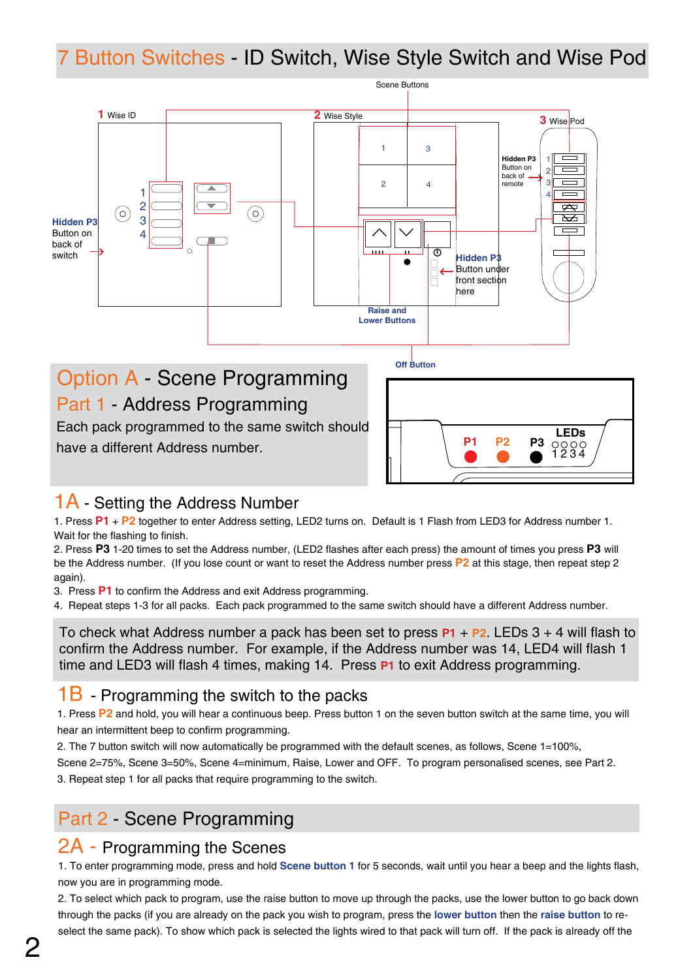# 7 Button Switches - ID Switch, Wise Style Switch and Wise Pod



# Option A - Scene Programming Part 1 - Address Programming

Each pack programmed to the same switch should have a different Address number.

| P1 | <b>P2</b> | P3 $\frac{\text{LEDs}}{\text{1234}}$ |
|----|-----------|--------------------------------------|

## 1A - Setting the Address Number

1. Press P1 + P2 together to enter Address setting, LED2 turns on. Default is 1 Flash from LED3 for Address number 1.<br>Weit for the flashing to finish Wait for the flashing to finish.

2. Press **P3** 1-20 times to set the Address number, (LED2 flashes after each press) the amount of times you press **P3** will 5 be the Address number. (If you lose count or want to reset the Address number press **P2** at this stage, then repeat step 2 again).

3. Press **P1** to confirm the Address and exit Address programming.

4. Repeat steps 1-3 for all packs. Each pack programmed to the same switch should have a different Address number.

To check what Address number a pack has been set to press **P1** + **P2**. LEDs 3 + 4 will flash to confirm the Address number. For example, if the Address number was 14, LED4 will flash 1 time and LED3 will flash 4 times, making 14. Press **P1** to exit Address programming.

#### 1B - Programming the switch to the packs

1. Press **P2** and hold, you will hear a continuous beep. Press button 1 on the seven button switch at the same time, you will hear an intermittent beep to confirm programming.

2. The 7 button switch will now automatically be programmed with the default scenes, as follows, Scene 1=100%,

Scene 2=75%, Scene 3=50%, Scene 4=minimum, Raise, Lower and OFF. To program personalised scenes, see Part 2.

3. Repeat step 1 for all packs that require programming to the switch.

# Part 2 - Scene Programming

### 2A - Programming the Scenes

1. To enter programming mode, press and hold **Scene button 1** for 5 seconds, wait until you hear a beep and the lights flash, now you are in programming mode.

2. To select which pack to program, use the raise button to move up through the packs, use the lower button to go back down through the packs (if you are already on the pack you wish to program, press the **lower button** then the **raise button** to reselect the same pack). To show which pack is selected the lights wired to that pack will turn off. If the pack is already off the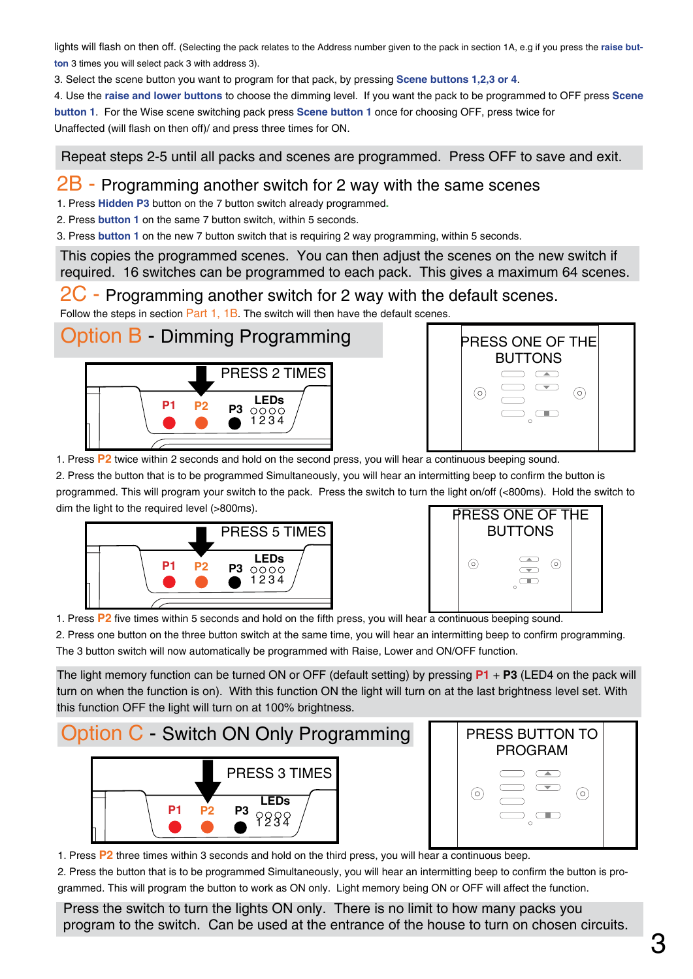lights will flash on then off. (Selecting the pack relates to the Address number given to the pack in section 1A, e.g if you press the **raise button** 3 times you will select pack 3 with address 3).

3. Select the scene button you want to program for that pack, by pressing **Scene buttons 1,2,3 or 4**.

4. Use the **raise and lower buttons** to choose the dimming level. If you want the pack to be programmed to OFF press **Scene button 1**. For the Wise scene switching pack press **Scene button 1** once for choosing OFF, press twice for Unaffected (will flash on then off)/ and press three times for ON.

Repeat steps 2-5 until all packs and scenes are programmed. Press OFF to save and exit.

#### $2B$  - Programming another switch for 2 way with the same scenes

1. Press **Hidden P3** button on the 7 button switch already programmed**.** 

2. Press **button 1** on the same 7 button switch, within 5 seconds.

3. Press **button 1** on the new 7 button switch that is requiring 2 way programming, within 5 seconds.

This copies the programmed scenes. You can then adjust the scenes on the new switch if required. 16 switches can be programmed to each pack. This gives a maximum 64 scenes.

#### 2C - Programming another switch for 2 way with the default scenes.

Follow the steps in section Part 1, 1B. The switch will then have the default scenes.

Option B - Dimming Programming





1. Press **P2** twice within 2 seconds and hold on the second press, you will hear a continuous beeping sound.

2. Press the button that is to be programmed Simultaneously, you will hear an intermitting beep to confirm the button is programmed. This will program your switch to the pack. Press the switch to turn the light on/off (<800ms). Hold the switch to dim the light to the required level (>800ms).





1. Press **P2** five times within 5 seconds and hold on the fifth press, you will hear a continuous beeping sound.

2. Press one button on the three button switch at the same time, you will hear an intermitting beep to confirm programming. The 3 button switch will now automatically be programmed with Raise, Lower and ON/OFF function.

The light memory function can be turned ON or OFF (default setting) by pressing **P1** + **P3** (LED4 on the pack will turn on when the function is on). With this function ON the light will turn on at the last brightness level set. With this function OFF the light will turn on at 100% brightness.

### Option C - Switch ON Only Programming **p1 p2 p3 LEDs** 9988 PRESS 3 TIMES



1. Press **P2** three times within 3 seconds and hold on the third press, you will hear a continuous beep.

2. Press the button that is to be programmed Simultaneously, you will hear an intermitting beep to confirm the button is programmed. This will program the button to work as ON only. Light memory being ON or OFF will affect the function.

Press the switch to turn the lights ON only. There is no limit to how many packs you program to the switch. Can be used at the entrance of the house to turn on chosen circuits.